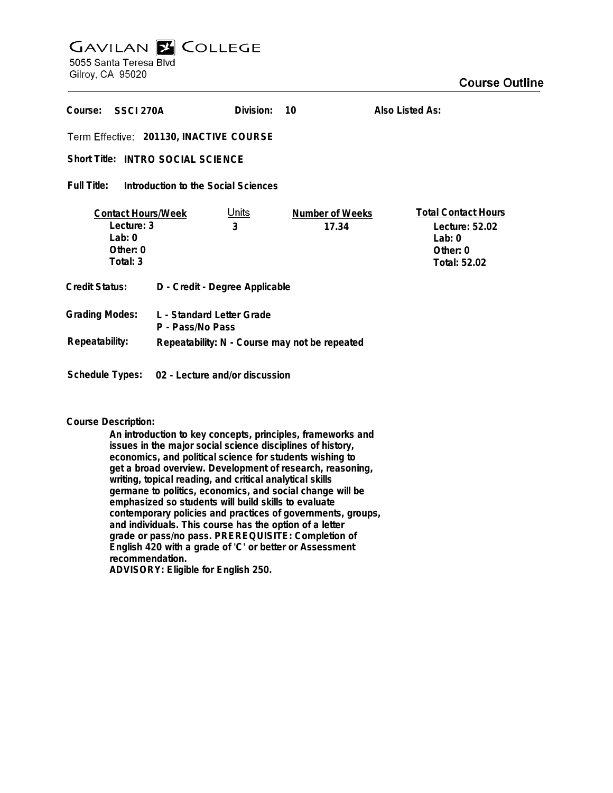# **GAVILAN E COLLEGE** 5055 Santa Teresa Blvd

Gilroy, CA 95020

| Course:<br>SSCI 270A                                                        |                                | Division:         | 10                       | Also Listed As:                                                                             |
|-----------------------------------------------------------------------------|--------------------------------|-------------------|--------------------------|---------------------------------------------------------------------------------------------|
| Term Effective: 201130, INACTIVE COURSE                                     |                                |                   |                          |                                                                                             |
| Short Title: INTRO SOCIAL SCIENCE                                           |                                |                   |                          |                                                                                             |
| Full Title:<br>Introduction to the Social Sciences                          |                                |                   |                          |                                                                                             |
| <b>Contact Hours/Week</b><br>Lecture: 3<br>Lab: $0$<br>Other: 0<br>Total: 3 |                                | <u>Units</u><br>3 | Number of Weeks<br>17.34 | <b>Total Contact Hours</b><br>Lecture: 52.02<br>Lab: $0$<br>Other: 0<br><b>Total: 52.02</b> |
| Credit Status:                                                              | D - Credit - Degree Applicable |                   |                          |                                                                                             |
| <b>Grading Modes:</b><br>L - Standard Letter Grade<br>P - Pass/No Pass      |                                |                   |                          |                                                                                             |
| Repeatability:<br>Repeatability: N - Course may not be repeated             |                                |                   |                          |                                                                                             |

### **Course Description:**

**Schedule Types: 02 - Lecture and/or discussion**

**An introduction to key concepts, principles, frameworks and issues in the major social science disciplines of history, economics, and political science for students wishing to get a broad overview. Development of research, reasoning, writing, topical reading, and critical analytical skills germane to politics, economics, and social change will be emphasized so students will build skills to evaluate contemporary policies and practices of governments, groups, and individuals. This course has the option of a letter grade or pass/no pass. PREREQUISITE: Completion of English 420 with a grade of 'C' or better or Assessment recommendation. ADVISORY: Eligible for English 250.**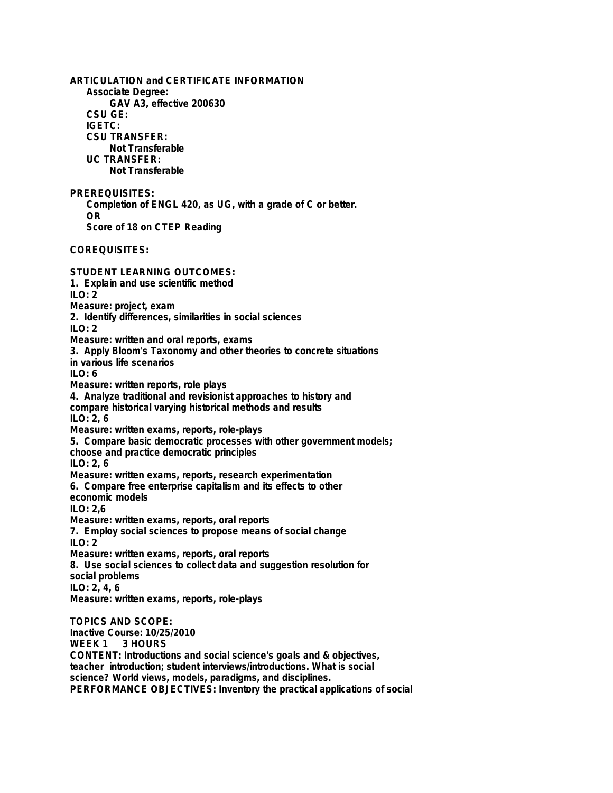**ARTICULATION and CERTIFICATE INFORMATION Associate Degree: GAV A3, effective 200630 CSU GE: IGETC: CSU TRANSFER: Not Transferable UC TRANSFER: Not Transferable PREREQUISITES: Completion of ENGL 420, as UG, with a grade of C or better. OR Score of 18 on CTEP Reading COREQUISITES: STUDENT LEARNING OUTCOMES: 1. Explain and use scientific method ILO: 2 Measure: project, exam 2. Identify differences, similarities in social sciences ILO: 2 Measure: written and oral reports, exams 3. Apply Bloom's Taxonomy and other theories to concrete situations in various life scenarios ILO: 6 Measure: written reports, role plays 4. Analyze traditional and revisionist approaches to history and compare historical varying historical methods and results ILO: 2, 6 Measure: written exams, reports, role-plays 5. Compare basic democratic processes with other government models; choose and practice democratic principles ILO: 2, 6 Measure: written exams, reports, research experimentation 6. Compare free enterprise capitalism and its effects to other economic models ILO: 2,6 Measure: written exams, reports, oral reports 7. Employ social sciences to propose means of social change**  $II$  O: 2 **Measure: written exams, reports, oral reports 8. Use social sciences to collect data and suggestion resolution for social problems ILO: 2, 4, 6 Measure: written exams, reports, role-plays TOPICS AND SCOPE: Inactive Course: 10/25/2010 WEEK 1 3 HOURS CONTENT: Introductions and social science's goals and & objectives, teacher introduction; student interviews/introductions. What is social science? World views, models, paradigms, and disciplines.**

**PERFORMANCE OBJECTIVES: Inventory the practical applications of social**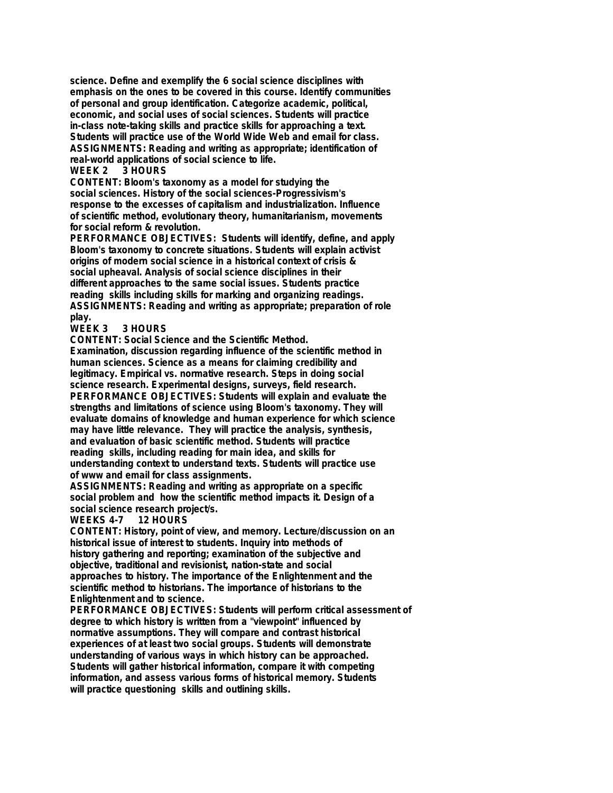**science. Define and exemplify the 6 social science disciplines with emphasis on the ones to be covered in this course. Identify communities of personal and group identification. Categorize academic, political, economic, and social uses of social sciences. Students will practice in-class note-taking skills and practice skills for approaching a text. Students will practice use of the World Wide Web and email for class. ASSIGNMENTS: Reading and writing as appropriate; identification of real-world applications of social science to life.**

#### **WEEK 2 3 HOURS**

**CONTENT: Bloom's taxonomy as a model for studying the social sciences. History of the social sciences-Progressivism's response to the excesses of capitalism and industrialization. Influence of scientific method, evolutionary theory, humanitarianism, movements for social reform & revolution.**

**PERFORMANCE OBJECTIVES: Students will identify, define, and apply Bloom's taxonomy to concrete situations. Students will explain activist origins of modern social science in a historical context of crisis & social upheaval. Analysis of social science disciplines in their different approaches to the same social issues. Students practice reading skills including skills for marking and organizing readings. ASSIGNMENTS: Reading and writing as appropriate; preparation of role**

**play. WEEK 3 3 HOURS**

**CONTENT: Social Science and the Scientific Method.**

**Examination, discussion regarding influence of the scientific method in human sciences. Science as a means for claiming credibility and legitimacy. Empirical vs. normative research. Steps in doing social science research. Experimental designs, surveys, field research. PERFORMANCE OBJECTIVES: Students will explain and evaluate the strengths and limitations of science using Bloom's taxonomy. They will evaluate domains of knowledge and human experience for which science may have little relevance. They will practice the analysis, synthesis, and evaluation of basic scientific method. Students will practice reading skills, including reading for main idea, and skills for understanding context to understand texts. Students will practice use of www and email for class assignments.**

**ASSIGNMENTS: Reading and writing as appropriate on a specific social problem and how the scientific method impacts it. Design of a social science research project/s.**

#### **WEEKS 4-7 12 HOURS**

**CONTENT: History, point of view, and memory. Lecture/discussion on an historical issue of interest to students. Inquiry into methods of history gathering and reporting; examination of the subjective and objective, traditional and revisionist, nation-state and social approaches to history. The importance of the Enlightenment and the scientific method to historians. The importance of historians to the Enlightenment and to science.**

**PERFORMANCE OBJECTIVES: Students will perform critical assessment of degree to which history is written from a "viewpoint" influenced by normative assumptions. They will compare and contrast historical experiences of at least two social groups. Students will demonstrate understanding of various ways in which history can be approached. Students will gather historical information, compare it with competing information, and assess various forms of historical memory. Students will practice questioning skills and outlining skills.**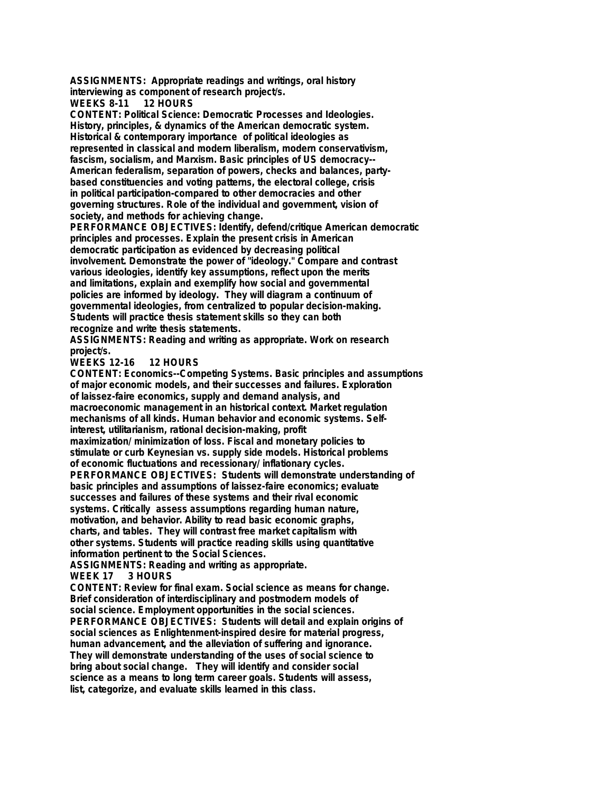**ASSIGNMENTS: Appropriate readings and writings, oral history interviewing as component of research project/s.**

**WEEKS 8-11** 

**CONTENT: Political Science: Democratic Processes and Ideologies. History, principles, & dynamics of the American democratic system. Historical & contemporary importance of political ideologies as represented in classical and modern liberalism, modern conservativism, fascism, socialism, and Marxism. Basic principles of US democracy-- American federalism, separation of powers, checks and balances, partybased constituencies and voting patterns, the electoral college, crisis in political participation-compared to other democracies and other governing structures. Role of the individual and government, vision of society, and methods for achieving change.**

**PERFORMANCE OBJECTIVES: Identify, defend/critique American democratic principles and processes. Explain the present crisis in American democratic participation as evidenced by decreasing political involvement. Demonstrate the power of "ideology." Compare and contrast various ideologies, identify key assumptions, reflect upon the merits and limitations, explain and exemplify how social and governmental policies are informed by ideology. They will diagram a continuum of governmental ideologies, from centralized to popular decision-making. Students will practice thesis statement skills so they can both recognize and write thesis statements.**

**ASSIGNMENTS: Reading and writing as appropriate. Work on research project/s.**

**WEEKS 12-16 12 HOURS**

**CONTENT: Economics--Competing Systems. Basic principles and assumptions of major economic models, and their successes and failures. Exploration of laissez-faire economics, supply and demand analysis, and macroeconomic management in an historical context. Market regulation mechanisms of all kinds. Human behavior and economic systems. Selfinterest, utilitarianism, rational decision-making, profit maximization/ minimization of loss. Fiscal and monetary policies to stimulate or curb Keynesian vs. supply side models. Historical problems of economic fluctuations and recessionary/ inflationary cycles. PERFORMANCE OBJECTIVES: Students will demonstrate understanding of basic principles and assumptions of laissez-faire economics; evaluate successes and failures of these systems and their rival economic systems. Critically assess assumptions regarding human nature, motivation, and behavior. Ability to read basic economic graphs, charts, and tables. They will contrast free market capitalism with other systems. Students will practice reading skills using quantitative information pertinent to the Social Sciences.**

**ASSIGNMENTS: Reading and writing as appropriate. WEEK 17 3 HOURS**

**CONTENT: Review for final exam. Social science as means for change. Brief consideration of interdisciplinary and postmodern models of social science. Employment opportunities in the social sciences. PERFORMANCE OBJECTIVES: Students will detail and explain origins of social sciences as Enlightenment-inspired desire for material progress, human advancement, and the alleviation of suffering and ignorance. They will demonstrate understanding of the uses of social science to bring about social change. They will identify and consider social science as a means to long term career goals. Students will assess, list, categorize, and evaluate skills learned in this class.**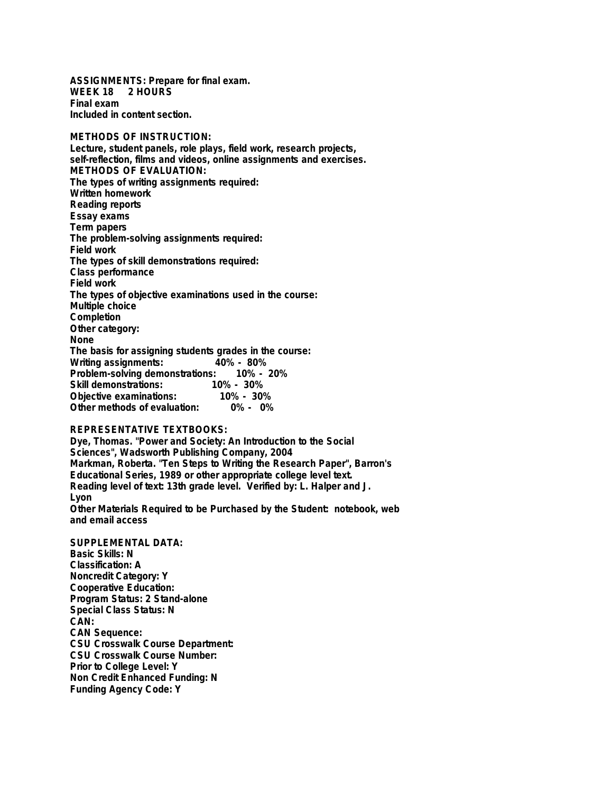**ASSIGNMENTS: Prepare for final exam. WEEK 18 2 HOURS Final exam Included in content section.**

**METHODS OF INSTRUCTION: Lecture, student panels, role plays, field work, research projects, self-reflection, films and videos, online assignments and exercises. METHODS OF EVALUATION: The types of writing assignments required: Written homework Reading reports Essay exams Term papers The problem-solving assignments required: Field work The types of skill demonstrations required: Class performance Field work The types of objective examinations used in the course: Multiple choice Completion Other category: None The basis for assigning students grades in the course: Writing assignments: Problem-solving demonstrations: 10% - 20%** Skill demonstrations: 10% - 30%<br>Objective examinations: 10% - 30% **Objective examinations: 10% - 30% Other methods of evaluation:** 

## **REPRESENTATIVE TEXTBOOKS:**

**Dye, Thomas. "Power and Society: An Introduction to the Social Sciences", Wadsworth Publishing Company, 2004 Markman, Roberta. "Ten Steps to Writing the Research Paper", Barron's Educational Series, 1989 or other appropriate college level text. Reading level of text: 13th grade level. Verified by: L. Halper and J. Lyon Other Materials Required to be Purchased by the Student: notebook, web**

**and email access**

**SUPPLEMENTAL DATA: Basic Skills: N Classification: A Noncredit Category: Y Cooperative Education: Program Status: 2 Stand-alone Special Class Status: N CAN: CAN Sequence: CSU Crosswalk Course Department: CSU Crosswalk Course Number: Prior to College Level: Y Non Credit Enhanced Funding: N Funding Agency Code: Y**